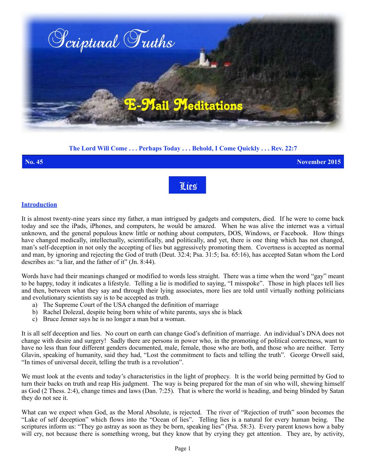

# **The Lord Will Come . . . Perhaps Today . . . Behold, I Come Quickly . . . Rev. 22:7**



#### **Introduction**

It is almost twenty-nine years since my father, a man intrigued by gadgets and computers, died. If he were to come back today and see the iPads, iPhones, and computers, he would be amazed. When he was alive the internet was a virtual unknown, and the general populous knew little or nothing about computers, DOS, Windows, or Facebook. How things have changed medically, intellectually, scientifically, and politically, and yet, there is one thing which has not changed, man's self-deception in not only the accepting of lies but aggressively promoting them. Covertness is accepted as normal and man, by ignoring and rejecting the God of truth (Deut. 32:4; Psa. 31:5; Isa. 65:16), has accepted Satan whom the Lord describes as: "a liar, and the father of it" (Jn. 8:44).

Words have had their meanings changed or modified to words less straight. There was a time when the word "gay" meant to be happy, today it indicates a lifestyle. Telling a lie is modified to saying, "I misspoke". Those in high places tell lies and then, between what they say and through their lying associates, more lies are told until virtually nothing politicians and evolutionary scientists say is to be accepted as truth.

- a) The Supreme Court of the USA changed the definition of marriage
- b) Rachel Dolezal, despite being born white of white parents, says she is black
- c) Bruce Jenner says he is no longer a man but a woman.

It is all self deception and lies. No court on earth can change God's definition of marriage. An individual's DNA does not change with desire and surgery! Sadly there are persons in power who, in the promoting of political correctness, want to have no less than four different genders documented, male, female, those who are both, and those who are neither. Terry Glavin, speaking of humanity, said they had, "Lost the commitment to facts and telling the truth". George Orwell said, "In times of universal deceit, telling the truth is a revolution".

We must look at the events and today's characteristics in the light of prophecy. It is the world being permitted by God to turn their backs on truth and reap His judgment. The way is being prepared for the man of sin who will, shewing himself as God (2 Thess. 2:4), change times and laws (Dan. 7:25). That is where the world is heading, and being blinded by Satan they do not see it.

What can we expect when God, as the Moral Absolute, is rejected. The river of "Rejection of truth" soon becomes the "Lake of self deception" which flows into the "Ocean of lies". Telling lies is a natural for every human being. The scriptures inform us: "They go astray as soon as they be born, speaking lies" (Psa. 58:3). Every parent knows how a baby will cry, not because there is something wrong, but they know that by crying they get attention. They are, by activity,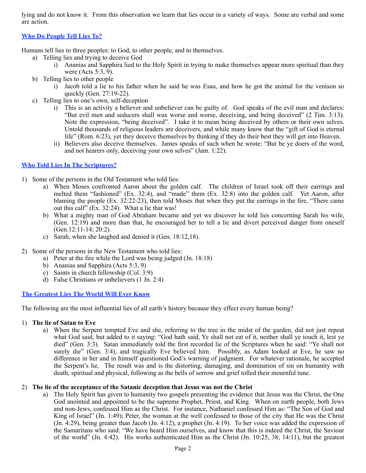lying and do not know it. From this observation we learn that lies occur in a variety of ways. Some are verbal and some are action.

# **Who Do People Tell Lies To?**

Humans tell lies to three peoples: to God, to other people, and to themselves.

- a) Telling lies and trying to deceive God
	- i) Ananias and Sapphira lied to the Holy Spirit in trying to make themselves appear more spiritual than they were (Acts 5:3, 9).
- b) Telling lies to other people
	- i) Jacob told a lie to his father when he said he was Esau, and how he got the animal for the venison so quickly (Gen. 27:19-22).
- c) Telling lies to one's own, self-deception
	- i) This is an activity a believer and unbeliever can be guilty of. God speaks of the evil man and declares: "But evil men and seducers shall wax worse and worse, deceiving, and being deceived" (2 Tim. 3:13). Note the expression, "being deceived". I take it to mean being deceived by others or their own selves. Untold thousands of religious leaders are deceivers, and while many know that the "gift of God is eternal life" (Rom. 6:23), yet they deceive themselves by thinking if they do their best they will get into Heaven.
	- ii) Believers also deceive themselves. James speaks of such when he wrote: "But be ye doers of the word, and not hearers only, deceiving your own selves" (Jam. 1:22).

### **Who Told Lies In The Scriptures?**

- 1) Some of the persons in the Old Testament who told lies:
	- a) When Moses confronted Aaron about the golden calf. The children of Israel took off their earrings and melted them "fashioned" (Ex. 32:4), and "made" them (Ex. 32:8) into the golden calf. Yet Aaron, after blaming the people (Ex. 32:22-23), then told Moses that when they put the earrings in the fire, "There came out this calf<sup> $\degree$ </sup> (Ex. 32:24). What a lie that was!
	- b) What a mighty man of God Abraham became and yet we discover he told lies concerning Sarah his wife, (Gen. 12:19) and more than that, he encouraged her to tell a lie and divert perceived danger from oneself (Gen.12:11-14; 20:2).
	- c) Sarah, when she laughed and denied it (Gen. 18:12,18).
- 2) Some of the persons in the New Testament who told lies:
	- a) Peter at the fire while the Lord was being judged (Jn. 18:18)
	- b) Ananias and Sapphira (Acts 5:3, 9)
	- c) Saints in church fellowship (Col. 3:9)
	- d) False Christians or unbelievers (1 Jn. 2:4)

## **The Greatest Lies The World Will Ever Know**

The following are the most influential lies of all earth's history because they effect every human being?

#### 1) **The lie of Satan to Eve**

a) When the Serpent tempted Eve and she, referring to the tree in the midst of the garden, did not just repeat what God said, but added to it saying: "God hath said, Ye shall not eat of it, neither shall ye touch it, lest ye died" (Gen. 3:3). Satan immediately told the first recorded lie of the Scriptures when he said: "Ye shall not surely die" (Gen. 3:4), and tragically Eve believed him. Possibly, as Adam looked at Eve, he saw no difference in her and in himself questioned God's warning of judgment. For whatever rationale, he accepted the Serpent's lie. The result was and is the distorting, damaging, and domination of sin on humanity with death, spiritual and physical, following as the bells of sorrow and grief tolled their mournful tune.

#### 2) **The lie of the acceptance of the Satanic deception that Jesus was not the Christ**

a) The Holy Spirit has given to humanity two gospels presenting the evidence that Jesus was the Christ, the One God anointed and appointed to be the supreme Prophet, Priest, and King. When on earth people, both Jews and non**-**Jews, confessed Him as the Christ. For instance, Nathaniel confessed Him as: "The Son of God and King of Israel" (Jn. 1:49); Peter, the woman at the well confessed to those of the city that He was the Christ (Jn. 4:29), being greater than Jacob (Jn. 4:12), a prophet (Jn. 4:19). To her voice was added the expression of the Samaritans who said: "We have heard Him ourselves, and know that this is indeed the Christ, the Saviour of the world" (Jn. 4:42). His works authenticated Him as the Christ (Jn. 10:25, 38; 14:11), but the greatest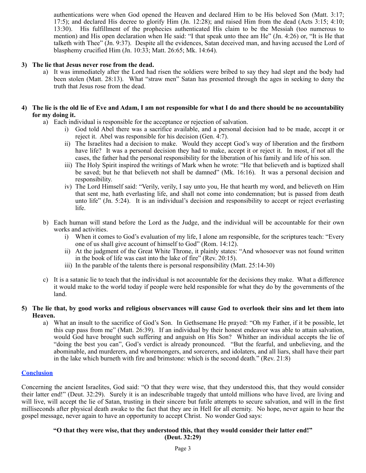authentications were when God opened the Heaven and declared Him to be His beloved Son (Matt. 3:17; 17:5); and declared His decree to glorify Him (Jn. 12:28); and raised Him from the dead (Acts 3:15; 4:10; 13:30). His fulfillment of the prophecies authenticated His claim to be the Messiah (too numerous to mention) and His open declaration when He said: "I that speak unto thee am He" (Jn. 4:26) or, "It is He that talketh with Thee" (Jn. 9:37). Despite all the evidences, Satan deceived man, and having accused the Lord of blasphemy crucified Him (Jn. 10:33; Matt. 26:65; Mk. 14:64).

#### **3) The lie that Jesus never rose from the dead.**

a) It was immediately after the Lord had risen the soldiers were bribed to say they had slept and the body had been stolen (Matt. 28:13). What "straw men" Satan has presented through the ages in seeking to deny the truth that Jesus rose from the dead.

#### **4) The lie is the old lie of Eve and Adam, I am not responsible for what I do and there should be no accountability for my doing it.**

- a) Each individual is responsible for the acceptance or rejection of salvation.
	- i) God told Abel there was a sacrifice available, and a personal decision had to be made, accept it or reject it. Abel was responsible for his decision (Gen. 4:7).
	- ii) The Israelites had a decision to make. Would they accept God's way of liberation and the firstborn have life? It was a personal decision they had to make, accept it or reject it. In most, if not all the cases, the father had the personal responsibility for the liberation of his family and life of his son.
	- iii) The Holy Spirit inspired the writings of Mark when he wrote: "He that believeth and is baptized shall be saved; but he that believeth not shall be damned" (Mk. 16:16). It was a personal decision and responsibility.
	- iv) The Lord Himself said: "Verily, verily, I say unto you, He that hearth my word, and believeth on Him that sent me, hath everlasting life, and shall not come into condemnation; but is passed from death unto life" (Jn. 5:24). It is an individual's decision and responsibility to accept or reject everlasting life.
- b) Each human will stand before the Lord as the Judge, and the individual will be accountable for their own works and activities.
	- i) When it comes to God's evaluation of my life, I alone am responsible, for the scriptures teach: "Every one of us shall give account of himself to God" (Rom. 14:12).
	- ii) At the judgment of the Great White Throne, it plainly states: "And whosoever was not found written in the book of life was cast into the lake of fire" (Rev. 20:15).
	- iii) In the parable of the talents there is personal responsibility (Matt. 25:14-30)
- c) It is a satanic lie to teach that the individual is not accountable for the decisions they make. What a difference it would make to the world today if people were held responsible for what they do by the governments of the land.

#### **5) The lie that, by good works and religious observances will cause God to overlook their sins and let them into Heaven.**

a) What an insult to the sacrifice of God's Son. In Gethsemane He prayed: "Oh my Father, if it be possible, let this cup pass from me" (Matt. 26:39). If an individual by their honest endeavor was able to attain salvation, would God have brought such suffering and anguish on His Son? Whither an individual accepts the lie of "doing the best you can", God's verdict is already pronounced. "But the fearful, and unbelieving, and the abominable, and murderers, and whoremongers, and sorcerers, and idolaters, and all liars, shall have their part in the lake which burneth with fire and brimstone: which is the second death." (Rev. 21:8)

#### **Conclusion**

Concerning the ancient Israelites, God said: "O that they were wise, that they understood this, that they would consider their latter end!" (Deut. 32:29). Surely it is an indescribable tragedy that untold millions who have lived, are living and will live, will accept the lie of Satan, trusting in their sincere but futile attempts to secure salvation, and will in the first milliseconds after physical death awake to the fact that they are in Hell for all eternity. No hope, never again to hear the gospel message, never again to have an opportunity to accept Christ. No wonder God says:

# **"O that they were wise, that they understood this, that they would consider their latter end!"**

**(Deut. 32:29)**